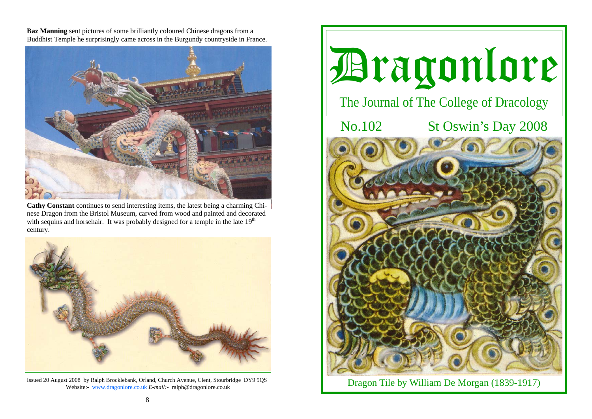**Baz Manning** sent pictures of some brilliantly coloured Chinese dragons from a Buddhist Temple he surprisingly came across in the Burgundy countryside in France.



**Cathy Constant** continues to send interesting items, the latest being a charming Chinese Dragon from the Bristol Museum, carved from wood and painted and decorated with sequins and horsehair. It was probably designed for a temple in the late  $19<sup>th</sup>$ century.



Issued 20 August 2008 by Ralph Brocklebank, Orland, Church Avenue, Clent, Stourbridge DY9 9QS Website:- www.dragonlore.co.uk *E-mail:-* ralph@dragonlore.co.uk



Dragon Tile by William De Morgan (1839-1917)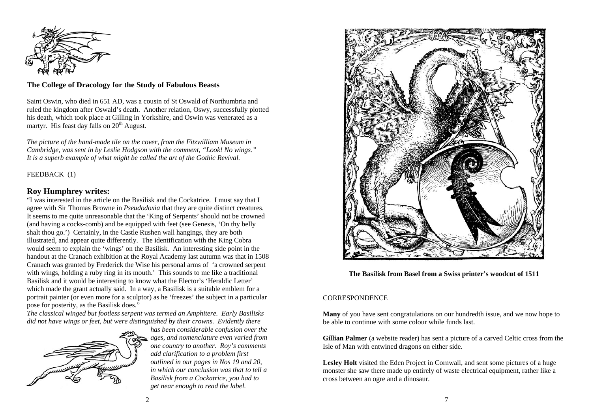

# **The College of Dracology for the Study of Fabulous Beasts**

Saint Oswin, who died in 651 AD, was a cousin of St Oswald of Northumbria and ruled the kingdom after Oswald's death. Another relation, Oswy, successfully plotted his death, which took place at Gilling in Yorkshire, and Oswin was venerated as a martyr. His feast day falls on  $20<sup>th</sup>$  August.

*The picture of the hand-made tile on the cover, from the Fitzwilliam Museum in Cambridge, was sent in by Leslie Hodgson with the comment, "Look! No wings." It is a superb example of what might be called the art of the Gothic Revival.* 

## FEEDBACK (1)

# **Roy Humphrey writes:**

"I was interested in the article on the Basilisk and the Cockatrice. I must say that I agree with Sir Thomas Browne in *Pseudodoxia* that they are quite distinct creatures. It seems to me quite unreasonable that the 'King of Serpents' should not be crowned (and having a cocks-comb) and be equipped with feet (see Genesis, 'On thy belly shalt thou go.') Certainly, in the Castle Rushen wall hangings, they are both illustrated, and appear quite differently. The identification with the King Cobra would seem to explain the 'wings' on the Basilisk. An interesting side point in the handout at the Cranach exhibition at the Royal Academy last autumn was that in 1508 Cranach was granted by Frederick the Wise his personal arms of 'a crowned serpent with wings, holding a ruby ring in its mouth.' This sounds to me like a traditional Basilisk and it would be interesting to know what the Elector's 'Heraldic Letter' which made the grant actually said. In a way, a Basilisk is a suitable emblem for a portrait painter (or even more for a sculptor) as he 'freezes' the subject in a particular pose for posterity, as the Basilisk does."

*The classical winged but footless serpent was termed an Amphitere. Early Basilisks did not have wings or feet, but were distinguished by their crowns. Evidently there* 



*has been considerable confusion over the ages, and nomenclature even varied from one country to another. Roy's comments add clarification to a problem first outlined in our pages in Nos 19 and 20, in which our conclusion was that to tell a Basilisk from a Cockatrice, you had to get near enough to read the label.* 



**The Basilisk from Basel from a Swiss printer's woodcut of 1511** 

### **CORRESPONDENCE**

**Many** of you have sent congratulations on our hundredth issue, and we now hope to be able to continue with some colour while funds last.

**Gillian Palmer** (a website reader) has sent a picture of a carved Celtic cross from the Isle of Man with entwined dragons on either side.

**Lesley Holt** visited the Eden Project in Cornwall, and sent some pictures of a huge monster she saw there made up entirely of waste electrical equipment, rather like a cross between an ogre and a dinosaur.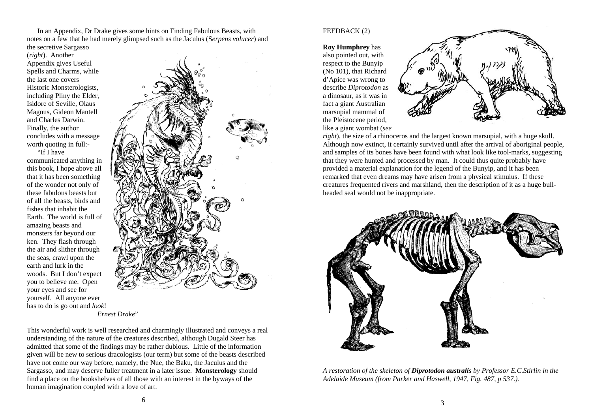In an Appendix, Dr Drake gives some hints on Finding Fabulous Beasts, with notes on a few that he had merely glimpsed such as the Jaculus (S*erpens volucer*) and the secretive Sargasso

(*right*). Another Appendix gives Useful Spells and Charms, while the last one covers Historic Monsterologists, including Pliny the Elder, Isidore of Seville, Olaus Magnus, Gideon Mantell and Charles Darwin. Finally, the author concludes with a message worth quoting in full:-

 "If I have communicated anything in this book, I hope above all that it has been something of the wonder not only of these fabulous beasts but of all the beasts, birds and fishes that inhabit the Earth. The world is full of amazing beasts and monsters far beyond our ken. They flash through the air and slither through the seas, crawl upon the earth and lurk in the woods. But I don't expect you to believe me. Open your eyes and see for yourself. All anyone ever has to do is go out and *look*! *Ernest Drake*"



This wonderful work is well researched and charmingly illustrated and conveys a real understanding of the nature of the creatures described, although Dugald Steer has admitted that some of the findings may be rather dubious. Little of the information given will be new to serious dracologists (our term) but some of the beasts described have not come our way before, namely, the Nue, the Baku, the Jaculus and the Sargasso, and may deserve fuller treatment in a later issue. **Monsterology** should find a place on the bookshelves of all those with an interest in the byways of the human imagination coupled with a love of art.

#### FEEDBACK (2)

**Roy Humphrey** has also pointed out, with respect to the Bunyip (No 101), that Richard d'Apice was wrong to describe *Diprotodon* as a dinosaur, as it was in fact a giant Australian marsupial mammal of the Pleistocene period, like a giant wombat (*see* 



*right*), the size of a rhinoceros and the largest known marsupial, with a huge skull. Although now extinct, it certainly survived until after the arrival of aboriginal people, and samples of its bones have been found with what look like tool-marks, suggesting that they were hunted and processed by man. It could thus quite probably have provided a material explanation for the legend of the Bunyip, and it has been remarked that even dreams may have arisen from a physical stimulus. If these creatures frequented rivers and marshland, then the description of it as a huge bullheaded seal would not be inappropriate.



*A restoration of the skeleton of Diprotodon australis by Professor E.C.Stirlin in the Adelaide Museum (from Parker and Haswell, 1947, Fig. 487, p 537.).*